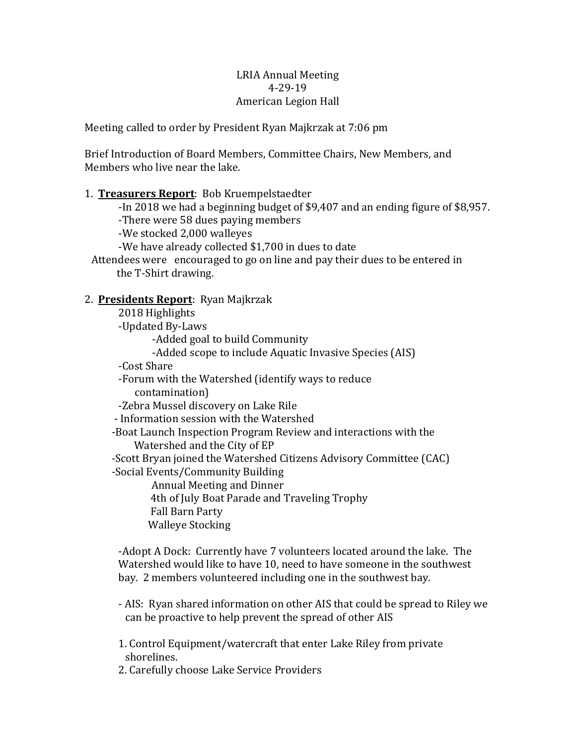#### LRIA Annual Meeting 4-29-19 American Legion Hall

Meeting called to order by President Ryan Majkrzak at 7:06 pm

Brief Introduction of Board Members, Committee Chairs, New Members, and Members who live near the lake.

# 1. **Treasurers Report**: Bob Kruempelstaedter -In 2018 we had a beginning budget of \$9,407 and an ending figure of \$8,957. -There were 58 dues paying members -We stocked 2,000 walleyes -We have already collected \$1,700 in dues to date Attendees were encouraged to go on line and pay their dues to be entered in the T-Shirt drawing. 2. **Presidents Report**: Ryan Majkrzak 2018 Highlights -Updated By-Laws -Added goal to build Community -Added scope to include Aquatic Invasive Species (AIS) -Cost Share

-Forum with the Watershed (identify ways to reduce contamination) 

-Zebra Mussel discovery on Lake Rile

- Information session with the Watershed

-Boat Launch Inspection Program Review and interactions with the Watershed and the City of EP

-Scott Bryan joined the Watershed Citizens Advisory Committee (CAC) -Social Events/Community Building

Annual Meeting and Dinner 4th of July Boat Parade and Traveling Trophy Fall Barn Party Walleye Stocking

-Adopt A Dock: Currently have 7 volunteers located around the lake. The Watershed would like to have 10, need to have someone in the southwest bay. 2 members volunteered including one in the southwest bay.

- AIS: Ryan shared information on other AIS that could be spread to Riley we can be proactive to help prevent the spread of other AIS

1. Control Equipment/watercraft that enter Lake Riley from private shorelines.

2. Carefully choose Lake Service Providers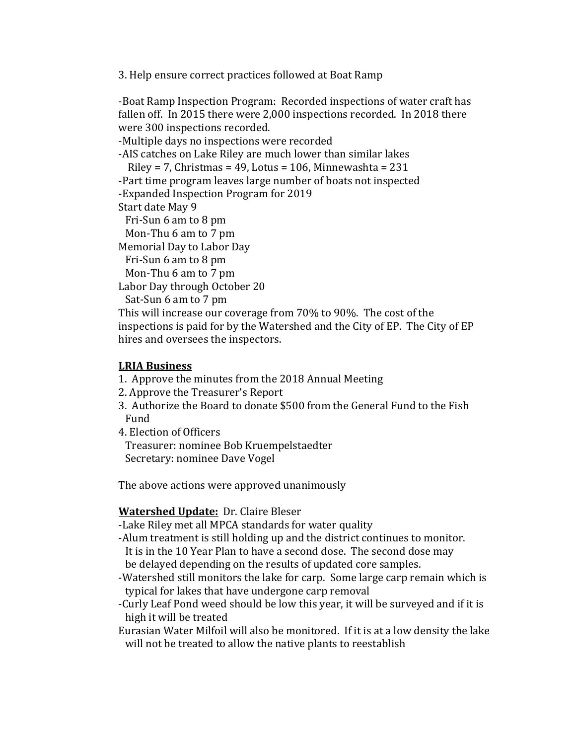3. Help ensure correct practices followed at Boat Ramp

-Boat Ramp Inspection Program: Recorded inspections of water craft has fallen off. In 2015 there were 2,000 inspections recorded. In 2018 there were 300 inspections recorded. -Multiple days no inspections were recorded -AIS catches on Lake Riley are much lower than similar lakes Riley =  $7$ , Christmas =  $49$ , Lotus = 106, Minnewashta =  $231$ -Part time program leaves large number of boats not inspected -Expanded Inspection Program for 2019 Start date May 9 Fri-Sun 6 am to 8 pm Mon-Thu 6 am to 7 pm Memorial Day to Labor Day Fri-Sun 6 am to 8 pm Mon-Thu  $6$  am to  $7$  pm Labor Day through October 20 Sat-Sun 6 am to 7 pm This will increase our coverage from 70% to 90%. The cost of the inspections is paid for by the Watershed and the City of EP. The City of EP hires and oversees the inspectors.

#### **LRIA Business**

- 1. Approve the minutes from the 2018 Annual Meeting
- 2. Approve the Treasurer's Report
- 3. Authorize the Board to donate \$500 from the General Fund to the Fish Fund
- 4. Election of Officers

Treasurer: nominee Bob Kruempelstaedter Secretary: nominee Dave Vogel

The above actions were approved unanimously

# **Watershed Update:** Dr. Claire Bleser

-Lake Riley met all MPCA standards for water quality

-Alum treatment is still holding up and the district continues to monitor.

It is in the 10 Year Plan to have a second dose. The second dose may be delayed depending on the results of updated core samples.

-Watershed still monitors the lake for carp. Some large carp remain which is typical for lakes that have undergone carp removal

-Curly Leaf Pond weed should be low this year, it will be surveyed and if it is high it will be treated

Eurasian Water Milfoil will also be monitored. If it is at a low density the lake will not be treated to allow the native plants to reestablish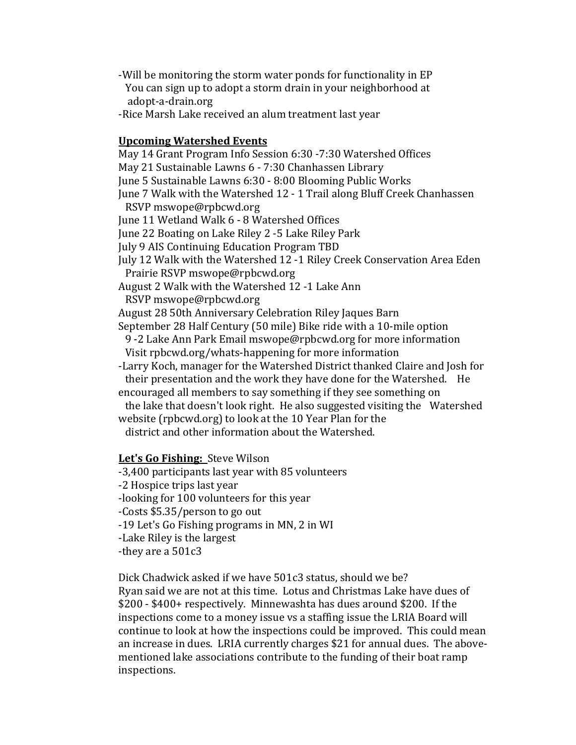-Will be monitoring the storm water ponds for functionality in EP You can sign up to adopt a storm drain in your neighborhood at adopt-a-drain.org

-Rice Marsh Lake received an alum treatment last year

#### **Upcoming Watershed Events**

May 14 Grant Program Info Session 6:30 -7:30 Watershed Offices May 21 Sustainable Lawns 6 - 7:30 Chanhassen Library June 5 Sustainable Lawns 6:30 - 8:00 Blooming Public Works June 7 Walk with the Watershed 12 - 1 Trail along Bluff Creek Chanhassen RSVP mswope@rpbcwd.org June 11 Wetland Walk 6 - 8 Watershed Offices June 22 Boating on Lake Riley 2 -5 Lake Riley Park July 9 AIS Continuing Education Program TBD July 12 Walk with the Watershed 12 -1 Riley Creek Conservation Area Eden Prairie RSVP mswope@rpbcwd.org August 2 Walk with the Watershed 12 -1 Lake Ann RSVP mswope@rpbcwd.org August 28 50th Anniversary Celebration Riley Jaques Barn September 28 Half Century (50 mile) Bike ride with a 10-mile option 9 -2 Lake Ann Park Email mswope@rpbcwd.org for more information Visit rpbcwd.org/whats-happening for more information -Larry Koch, manager for the Watershed District thanked Claire and Josh for their presentation and the work they have done for the Watershed. He encouraged all members to say something if they see something on the lake that doesn't look right. He also suggested visiting the Watershed website (rpbcwd.org) to look at the 10 Year Plan for the district and other information about the Watershed. Let's Go Fishing: Steve Wilson

-3,400 participants last year with 85 volunteers -2 Hospice trips last year -looking for 100 volunteers for this year -Costs \$5.35/person to go out -19 Let's Go Fishing programs in MN, 2 in WI -Lake Riley is the largest -they are a  $501c3$ 

Dick Chadwick asked if we have 501c3 status, should we be? Ryan said we are not at this time. Lotus and Christmas Lake have dues of \$200 - \$400+ respectively. Minnewashta has dues around \$200. If the inspections come to a money issue vs a staffing issue the LRIA Board will continue to look at how the inspections could be improved. This could mean an increase in dues. LRIA currently charges \$21 for annual dues. The abovementioned lake associations contribute to the funding of their boat ramp inspections.